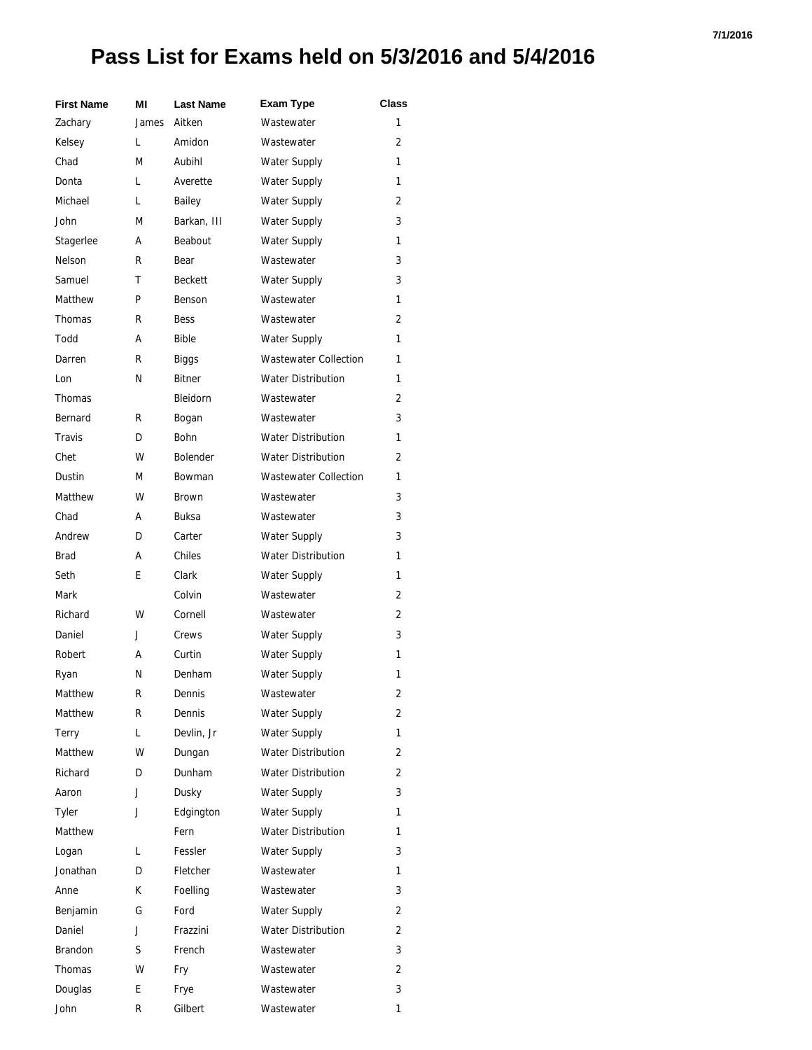| <b>First Name</b> | ΜI    | <b>Last Name</b> | <b>Exam Type</b>             | Class |
|-------------------|-------|------------------|------------------------------|-------|
| Zachary           | James | Aitken           | Wastewater                   | 1     |
| Kelsey            | L     | Amidon           | Wastewater                   | 2     |
| Chad              | М     | Aubihl           | Water Supply                 | 1     |
| Donta             | L     | Averette         | Water Supply                 | 1     |
| Michael           | L     | Bailey           | <b>Water Supply</b>          | 2     |
| John              | М     | Barkan, III      | <b>Water Supply</b>          | 3     |
| Stagerlee         | А     | Beabout          | Water Supply                 | 1     |
| Nelson            | R     | Bear             | Wastewater                   | 3     |
| Samuel            | т     | <b>Beckett</b>   | <b>Water Supply</b>          | 3     |
| Matthew           | P     | Benson           | Wastewater                   | 1     |
| Thomas            | R     | <b>Bess</b>      | Wastewater                   | 2     |
| Todd              | А     | <b>Bible</b>     | <b>Water Supply</b>          | 1     |
| Darren            | R     | Biggs            | <b>Wastewater Collection</b> | 1     |
| Lon               | N     | Bitner           | <b>Water Distribution</b>    | 1     |
| Thomas            |       | Bleidorn         | Wastewater                   | 2     |
| Bernard           | R     | Bogan            | Wastewater                   | 3     |
| Travis            | D     | Bohn             | <b>Water Distribution</b>    | 1     |
| Chet              | W     | <b>Bolender</b>  | <b>Water Distribution</b>    | 2     |
| Dustin            | М     | <b>Bowman</b>    | <b>Wastewater Collection</b> | 1     |
| Matthew           | W     | Brown            | Wastewater                   | 3     |
| Chad              | А     | Buksa            | Wastewater                   | 3     |
| Andrew            | D     | Carter           | Water Supply                 | 3     |
| Brad              | А     | Chiles           | <b>Water Distribution</b>    | 1     |
| Seth              | E     | Clark            | Water Supply                 | 1     |
| Mark              |       | Colvin           | Wastewater                   | 2     |
| Richard           | w     | Cornell          | Wastewater                   | 2     |
| Daniel            | J     | Crews            | <b>Water Supply</b>          | 3     |
| Robert            | А     | Curtin           | Water Supply                 | 1     |
| Ryan              | N     | Denham           | Water Supply                 | 1     |
| Matthew           | к     | Dennis           | Wastewater                   | 2     |
| Matthew           | R     | Dennis           | Water Supply                 | 2     |
| Terry             | L     | Devlin, Jr       | Water Supply                 | 1     |
| Matthew           | W     | Dungan           | <b>Water Distribution</b>    | 2     |
| Richard           | D     | Dunham           | <b>Water Distribution</b>    | 2     |
| Aaron             | J     | Dusky            | Water Supply                 | 3     |
| Tyler             | J     | Edgington        | <b>Water Supply</b>          | 1     |
| Matthew           |       | Fern             | <b>Water Distribution</b>    | 1     |
| Logan             | L     | Fessler          | Water Supply                 | 3     |
| Jonathan          | D     | Fletcher         | Wastewater                   | 1     |
| Anne              | К     | Foelling         | Wastewater                   | 3     |
| Benjamin          | G     | Ford             | Water Supply                 | 2     |
| Daniel            | J     | Frazzini         | <b>Water Distribution</b>    | 2     |
| Brandon           | S     | French           | Wastewater                   | 3     |
| Thomas            | W     | Fry              | Wastewater                   | 2     |
| Douglas           | E.    | Frye             | Wastewater                   | 3     |
| John              | R     | Gilbert          | Wastewater                   | 1     |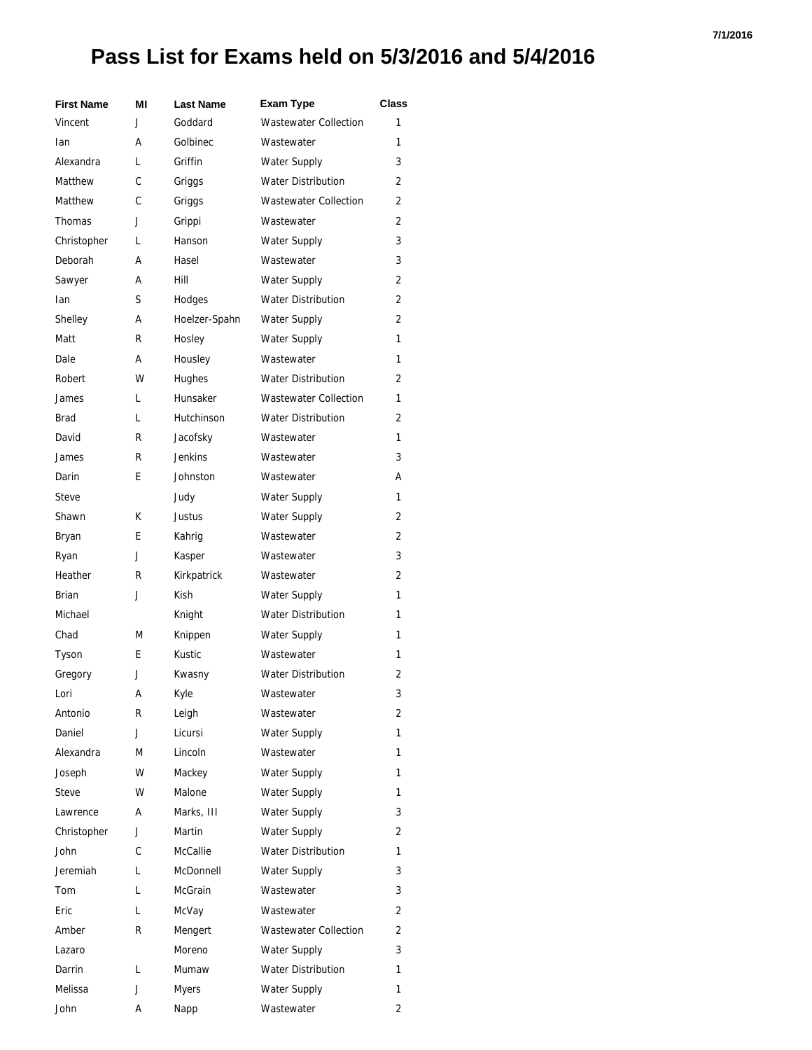#### **7/1/2016**

| <b>First Name</b> | ΜI | <b>Last Name</b> | <b>Exam Type</b>             | <b>Class</b>   |
|-------------------|----|------------------|------------------------------|----------------|
| Vincent           | J  | Goddard          | <b>Wastewater Collection</b> | 1              |
| lan               | А  | Golbinec         | Wastewater                   | 1              |
| Alexandra         | L  | Griffin          | <b>Water Supply</b>          | 3              |
| Matthew           | C  | Griggs           | <b>Water Distribution</b>    | $\overline{2}$ |
| Matthew           | C  | Griggs           | <b>Wastewater Collection</b> | $\overline{2}$ |
| Thomas            | J  | Grippi           | Wastewater                   | $\overline{2}$ |
| Christopher       | L  | Hanson           | <b>Water Supply</b>          | 3              |
| Deborah           | А  | Hasel            | Wastewater                   | 3              |
| Sawyer            | А  | Hill             | <b>Water Supply</b>          | 2              |
| Ian               | S  | Hodges           | <b>Water Distribution</b>    | $\overline{2}$ |
| Shelley           | А  | Hoelzer-Spahn    | <b>Water Supply</b>          | 2              |
| Matt              | R  | Hosley           | <b>Water Supply</b>          | 1              |
| Dale              | А  | Housley          | Wastewater                   | 1              |
| Robert            | W  | Hughes           | <b>Water Distribution</b>    | $\overline{2}$ |
| James             | L  | Hunsaker         | <b>Wastewater Collection</b> | 1              |
| <b>Brad</b>       | L  | Hutchinson       | <b>Water Distribution</b>    | $\overline{2}$ |
| David             | R  | Jacofsky         | Wastewater                   | 1              |
| James             | R  | <b>Jenkins</b>   | Wastewater                   | 3              |
| Darin             | E  | Johnston         | Wastewater                   | А              |
| <b>Steve</b>      |    | Judy             | <b>Water Supply</b>          | 1              |
| Shawn             | К  | Justus           | <b>Water Supply</b>          | $\overline{2}$ |
| Bryan             | E  | Kahrig           | Wastewater                   | 2              |
| Ryan              | J  | Kasper           | Wastewater                   | 3              |
| Heather           | R  | Kirkpatrick      | Wastewater                   | 2              |
| Brian             | J  | Kish             | <b>Water Supply</b>          | 1              |
| Michael           |    | Knight           | <b>Water Distribution</b>    | 1              |
| Chad              | M  | Knippen          | <b>Water Supply</b>          | 1              |
| Tyson             | E  | Kustic           | Wastewater                   | 1              |
| Gregory           | J  | Kwasny           | <b>Water Distribution</b>    | 2              |
| Lori              | А  | Kyle             | Wastewater                   | 3              |
| Antonio           | R  | Leigh            | Wastewater                   | 2              |
| Daniel            | J  | Licursi          | <b>Water Supply</b>          | 1              |
| Alexandra         | М  | Lincoln          | Wastewater                   | 1              |
| Joseph            | W  | Mackey           | <b>Water Supply</b>          | 1              |
| Steve             | w  | Malone           | <b>Water Supply</b>          | 1              |
| Lawrence          | А  | Marks, III       | <b>Water Supply</b>          | 3              |
| Christopher       | J  | Martin           | Water Supply                 | $\overline{2}$ |
| John              | C  | <b>McCallie</b>  | Water Distribution           | 1              |
| Jeremiah          | L  | McDonnell        | <b>Water Supply</b>          | 3              |
| Tom               | L  | <b>McGrain</b>   | Wastewater                   | 3              |
| Eric              | L  | McVay            | Wastewater                   | 2              |
| Amber             | R  | Mengert          | <b>Wastewater Collection</b> | 2              |
| Lazaro            |    | Moreno           | <b>Water Supply</b>          | 3              |
| Darrin            | L  | Mumaw            | <b>Water Distribution</b>    | 1              |
| Melissa           | J  | Myers            | <b>Water Supply</b>          | 1              |
| John              | А  | Napp             | Wastewater                   | 2              |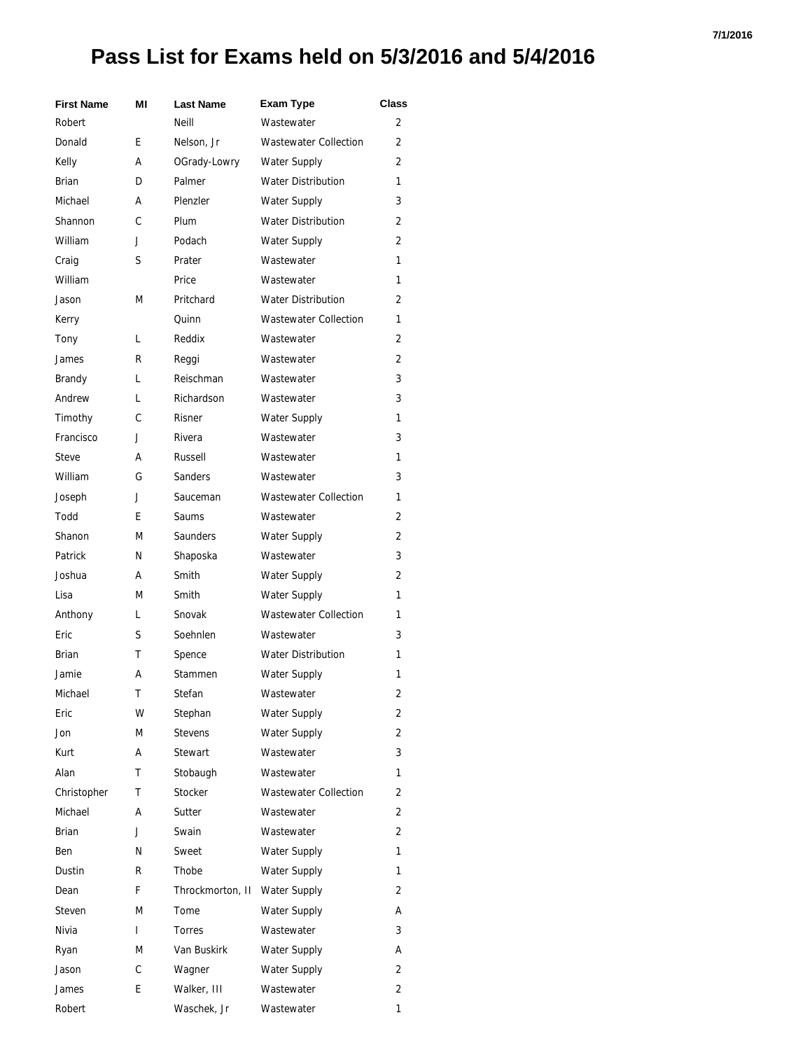#### **7/1/2016**

| <b>First Name</b> | ΜI | <b>Last Name</b> | <b>Exam Type</b>             | <b>Class</b> |
|-------------------|----|------------------|------------------------------|--------------|
| Robert            |    | Neill            | Wastewater                   | 2            |
| Donald            | E  | Nelson, Jr       | <b>Wastewater Collection</b> | 2            |
| Kelly             | А  | OGrady-Lowry     | <b>Water Supply</b>          | 2            |
| <b>Brian</b>      | D  | Palmer           | <b>Water Distribution</b>    | 1            |
| Michael           | А  | Plenzler         | <b>Water Supply</b>          | 3            |
| Shannon           | C  | Plum             | <b>Water Distribution</b>    | 2            |
| William           | J  | Podach           | <b>Water Supply</b>          | 2            |
| Craig             | S  | Prater           | Wastewater                   | 1            |
| William           |    | Price            | Wastewater                   | 1            |
| Jason             | М  | Pritchard        | <b>Water Distribution</b>    | 2            |
| Kerry             |    | Quinn            | <b>Wastewater Collection</b> | 1            |
| Tony              | L  | Reddix           | Wastewater                   | 2            |
| James             | R  | Reggi            | Wastewater                   | 2            |
| Brandy            | L  | Reischman        | Wastewater                   | 3            |
| Andrew            | L  | Richardson       | Wastewater                   | 3            |
| Timothy           | C  | Risner           | <b>Water Supply</b>          | 1            |
| Francisco         | J  | Rivera           | Wastewater                   | 3            |
| Steve             | А  | Russell          | Wastewater                   | 1            |
| William           | G  | Sanders          | Wastewater                   | 3            |
| Joseph            | J  | Sauceman         | <b>Wastewater Collection</b> | 1            |
| Todd              | E. | Saums            | Wastewater                   | 2            |
| Shanon            | М  | <b>Saunders</b>  | <b>Water Supply</b>          | 2            |
| Patrick           | N  | Shaposka         | Wastewater                   | 3            |
| Joshua            | А  | Smith            | <b>Water Supply</b>          | 2            |
| Lisa              | М  | Smith            | <b>Water Supply</b>          | 1            |
| Anthony           | L  | Snovak           | <b>Wastewater Collection</b> | 1            |
| Eric              | S  | Soehnlen         | Wastewater                   | 3            |
| Brian             | т  | Spence           | <b>Water Distribution</b>    | 1            |
| Jamie             | А  | Stammen          | <b>Water Supply</b>          | 1            |
| Michael           | Т  | Stefan           | Wastewater                   | 2            |
| Eric              | W  | Stephan          | Water Supply                 | 2            |
| Jon               | M  | <b>Stevens</b>   | <b>Water Supply</b>          | 2            |
| Kurt              | А  | Stewart          | Wastewater                   | 3            |
| Alan              | Τ  | Stobaugh         | Wastewater                   | 1            |
| Christopher       | Τ  | Stocker          | <b>Wastewater Collection</b> | 2            |
| Michael           | А  | Sutter           | Wastewater                   | 2            |
| Brian             | J  | Swain            | Wastewater                   | 2            |
| Ben               | N  | Sweet            | Water Supply                 | 1            |
| Dustin            | R  | Thobe            | <b>Water Supply</b>          | 1            |
| Dean              | F  | Throckmorton, II | <b>Water Supply</b>          | 2            |
| Steven            | М  | Tome             | Water Supply                 | А            |
| Nivia             | I  | Torres           | Wastewater                   | 3            |
| Ryan              | M  | Van Buskirk      | <b>Water Supply</b>          | А            |
| Jason             | С  | Wagner           | <b>Water Supply</b>          | 2            |
| James             | E  | Walker, III      | Wastewater                   | 2            |
| Robert            |    | Waschek, Jr      | Wastewater                   | 1            |